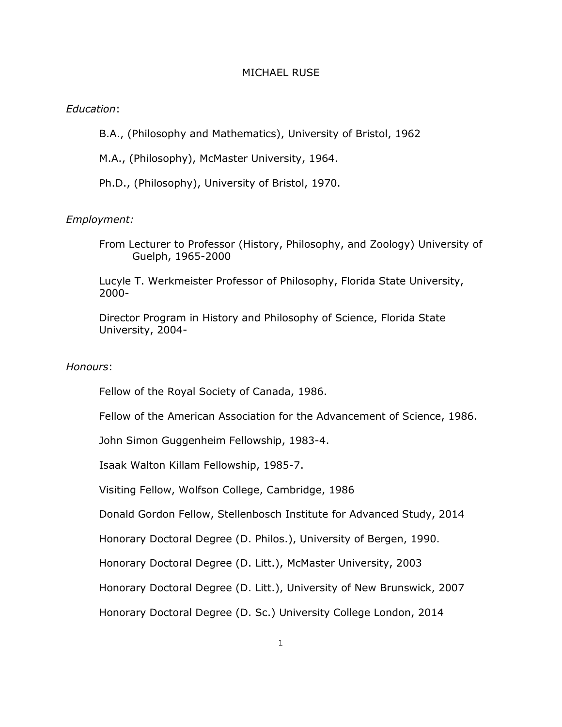### MICHAEL RUSE

## *Education*:

B.A., (Philosophy and Mathematics), University of Bristol, 1962

M.A., (Philosophy), McMaster University, 1964.

Ph.D., (Philosophy), University of Bristol, 1970.

### *Employment:*

From Lecturer to Professor (History, Philosophy, and Zoology) University of Guelph, 1965-2000

Lucyle T. Werkmeister Professor of Philosophy, Florida State University, 2000-

Director Program in History and Philosophy of Science, Florida State University, 2004-

#### *Honours*:

Fellow of the Royal Society of Canada, 1986.

Fellow of the American Association for the Advancement of Science, 1986.

John Simon Guggenheim Fellowship, 1983-4.

Isaak Walton Killam Fellowship, 1985-7.

Visiting Fellow, Wolfson College, Cambridge, 1986

Donald Gordon Fellow, Stellenbosch Institute for Advanced Study, 2014

Honorary Doctoral Degree (D. Philos.), University of Bergen, 1990.

Honorary Doctoral Degree (D. Litt.), McMaster University, 2003

Honorary Doctoral Degree (D. Litt.), University of New Brunswick, 2007

Honorary Doctoral Degree (D. Sc.) University College London, 2014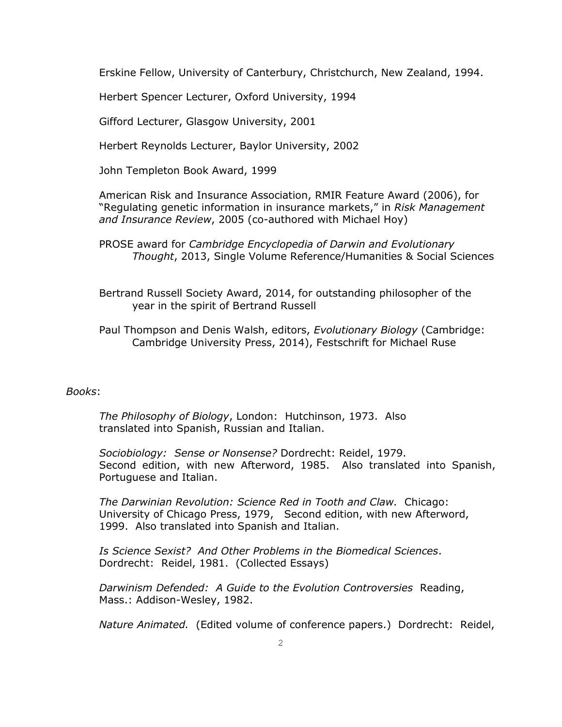Erskine Fellow, University of Canterbury, Christchurch, New Zealand, 1994.

Herbert Spencer Lecturer, Oxford University, 1994

Gifford Lecturer, Glasgow University, 2001

Herbert Reynolds Lecturer, Baylor University, 2002

John Templeton Book Award, 1999

American Risk and Insurance Association, RMIR Feature Award (2006), for "Regulating genetic information in insurance markets," in *Risk Management and Insurance Review*, 2005 (co-authored with Michael Hoy)

PROSE award for *Cambridge Encyclopedia of Darwin and Evolutionary Thought*, 2013, Single Volume Reference/Humanities & Social Sciences

Bertrand Russell Society Award, 2014, for outstanding philosopher of the year in the spirit of Bertrand Russell

Paul Thompson and Denis Walsh, editors, *Evolutionary Biology* (Cambridge: Cambridge University Press, 2014), Festschrift for Michael Ruse

# *Books*:

*The Philosophy of Biology*, London: Hutchinson, 1973. Also translated into Spanish, Russian and Italian.

*Sociobiology: Sense or Nonsense?* Dordrecht: Reidel, 1979. Second edition, with new Afterword, 1985. Also translated into Spanish, Portuguese and Italian.

*The Darwinian Revolution: Science Red in Tooth and Claw.* Chicago: University of Chicago Press, 1979, Second edition, with new Afterword, 1999. Also translated into Spanish and Italian.

*Is Science Sexist? And Other Problems in the Biomedical Sciences*. Dordrecht: Reidel, 1981. (Collected Essays)

*Darwinism Defended: A Guide to the Evolution Controversies* Reading, Mass.: Addison-Wesley, 1982.

*Nature Animated.* (Edited volume of conference papers.) Dordrecht: Reidel,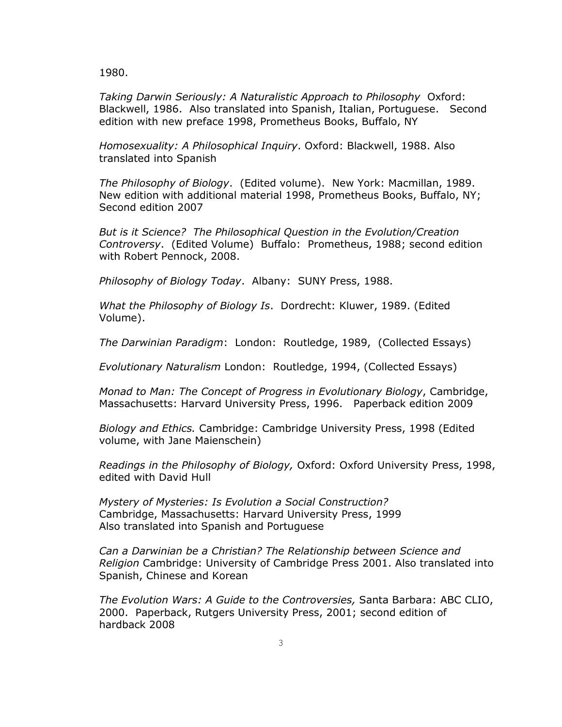1980.

*Taking Darwin Seriously: A Naturalistic Approach to Philosophy* Oxford: Blackwell, 1986. Also translated into Spanish, Italian, Portuguese. Second edition with new preface 1998, Prometheus Books, Buffalo, NY

*Homosexuality: A Philosophical Inquiry*. Oxford: Blackwell, 1988. Also translated into Spanish

*The Philosophy of Biology*. (Edited volume). New York: Macmillan, 1989. New edition with additional material 1998, Prometheus Books, Buffalo, NY; Second edition 2007

*But is it Science? The Philosophical Question in the Evolution/Creation Controversy*. (Edited Volume) Buffalo: Prometheus, 1988; second edition with Robert Pennock, 2008.

*Philosophy of Biology Today*. Albany: SUNY Press, 1988.

*What the Philosophy of Biology Is*. Dordrecht: Kluwer, 1989. (Edited Volume).

*The Darwinian Paradigm*: London: Routledge, 1989, (Collected Essays)

*Evolutionary Naturalism* London: Routledge, 1994, (Collected Essays)

*Monad to Man: The Concept of Progress in Evolutionary Biology*, Cambridge, Massachusetts: Harvard University Press, 1996. Paperback edition 2009

*Biology and Ethics.* Cambridge: Cambridge University Press, 1998 (Edited volume, with Jane Maienschein)

*Readings in the Philosophy of Biology,* Oxford: Oxford University Press, 1998, edited with David Hull

*Mystery of Mysteries: Is Evolution a Social Construction?* Cambridge, Massachusetts: Harvard University Press, 1999 Also translated into Spanish and Portuguese

*Can a Darwinian be a Christian? The Relationship between Science and Religion* Cambridge: University of Cambridge Press 2001. Also translated into Spanish, Chinese and Korean

*The Evolution Wars: A Guide to the Controversies,* Santa Barbara: ABC CLIO, 2000. Paperback, Rutgers University Press, 2001; second edition of hardback 2008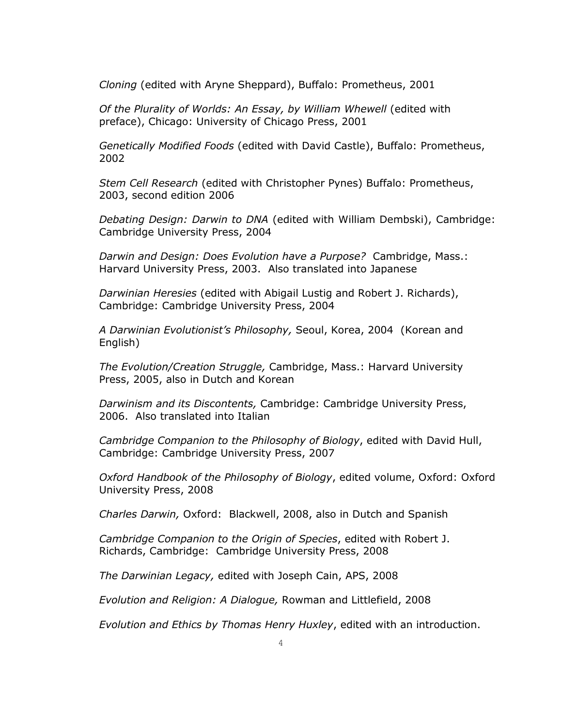*Cloning* (edited with Aryne Sheppard), Buffalo: Prometheus, 2001

*Of the Plurality of Worlds: An Essay, by William Whewell* (edited with preface), Chicago: University of Chicago Press, 2001

*Genetically Modified Foods* (edited with David Castle), Buffalo: Prometheus, 2002

*Stem Cell Research* (edited with Christopher Pynes) Buffalo: Prometheus, 2003, second edition 2006

*Debating Design: Darwin to DNA* (edited with William Dembski), Cambridge: Cambridge University Press, 2004

*Darwin and Design: Does Evolution have a Purpose?* Cambridge, Mass.: Harvard University Press, 2003. Also translated into Japanese

*Darwinian Heresies* (edited with Abigail Lustig and Robert J. Richards), Cambridge: Cambridge University Press, 2004

*A Darwinian Evolutionist's Philosophy,* Seoul, Korea, 2004 (Korean and English)

*The Evolution/Creation Struggle,* Cambridge, Mass.: Harvard University Press, 2005, also in Dutch and Korean

*Darwinism and its Discontents,* Cambridge: Cambridge University Press, 2006. Also translated into Italian

*Cambridge Companion to the Philosophy of Biology*, edited with David Hull, Cambridge: Cambridge University Press, 2007

*Oxford Handbook of the Philosophy of Biology*, edited volume, Oxford: Oxford University Press, 2008

*Charles Darwin,* Oxford: Blackwell, 2008, also in Dutch and Spanish

*Cambridge Companion to the Origin of Species*, edited with Robert J. Richards, Cambridge: Cambridge University Press, 2008

*The Darwinian Legacy,* edited with Joseph Cain, APS, 2008

*Evolution and Religion: A Dialogue,* Rowman and Littlefield, 2008

*Evolution and Ethics by Thomas Henry Huxley*, edited with an introduction.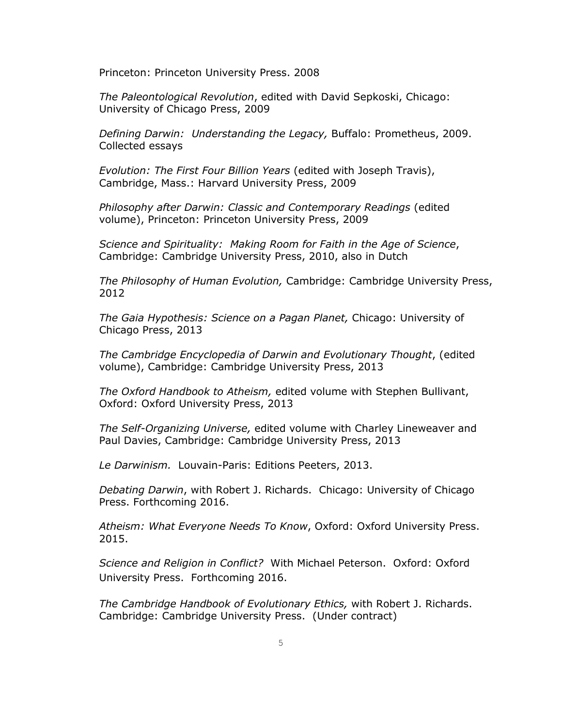Princeton: Princeton University Press. 2008

*The Paleontological Revolution*, edited with David Sepkoski, Chicago: University of Chicago Press, 2009

*Defining Darwin: Understanding the Legacy,* Buffalo: Prometheus, 2009. Collected essays

*Evolution: The First Four Billion Years* (edited with Joseph Travis), Cambridge, Mass.: Harvard University Press, 2009

*Philosophy after Darwin: Classic and Contemporary Readings* (edited volume), Princeton: Princeton University Press, 2009

*Science and Spirituality: Making Room for Faith in the Age of Science*, Cambridge: Cambridge University Press, 2010, also in Dutch

*The Philosophy of Human Evolution,* Cambridge: Cambridge University Press, 2012

*The Gaia Hypothesis: Science on a Pagan Planet,* Chicago: University of Chicago Press, 2013

*The Cambridge Encyclopedia of Darwin and Evolutionary Thought*, (edited volume), Cambridge: Cambridge University Press, 2013

*The Oxford Handbook to Atheism,* edited volume with Stephen Bullivant, Oxford: Oxford University Press, 2013

*The Self-Organizing Universe,* edited volume with Charley Lineweaver and Paul Davies, Cambridge: Cambridge University Press, 2013

*Le Darwinism.* Louvain-Paris: Editions Peeters, 2013.

*Debating Darwin*, with Robert J. Richards. Chicago: University of Chicago Press. Forthcoming 2016.

*Atheism: What Everyone Needs To Know*, Oxford: Oxford University Press. 2015.

*Science and Religion in Conflict?* With Michael Peterson. Oxford: Oxford University Press. Forthcoming 2016.

*The Cambridge Handbook of Evolutionary Ethics,* with Robert J. Richards. Cambridge: Cambridge University Press. (Under contract)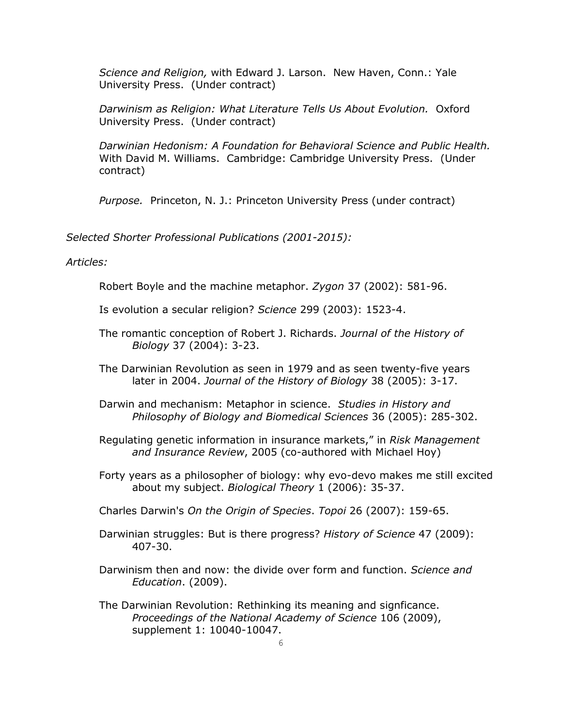*Science and Religion,* with Edward J. Larson. New Haven, Conn.: Yale University Press. (Under contract)

*Darwinism as Religion: What Literature Tells Us About Evolution.* Oxford University Press. (Under contract)

*Darwinian Hedonism: A Foundation for Behavioral Science and Public Health.*  With David M. Williams. Cambridge: Cambridge University Press. (Under contract)

*Purpose.* Princeton, N. J.: Princeton University Press (under contract)

*Selected Shorter Professional Publications (2001-2015):*

*Articles:*

Robert Boyle and the machine metaphor. *Zygon* 37 (2002): 581-96.

Is evolution a secular religion? *Science* 299 (2003): 1523-4.

The romantic conception of Robert J. Richards. *Journal of the History of Biology* 37 (2004): 3-23.

The Darwinian Revolution as seen in 1979 and as seen twenty-five years later in 2004. *Journal of the History of Biology* 38 (2005): 3-17.

- Darwin and mechanism: Metaphor in science. *Studies in History and Philosophy of Biology and Biomedical Sciences* 36 (2005): 285-302.
- Regulating genetic information in insurance markets," in *Risk Management and Insurance Review*, 2005 (co-authored with Michael Hoy)
- Forty years as a philosopher of biology: why evo-devo makes me still excited about my subject. *Biological Theory* 1 (2006): 35-37.

Charles Darwin's *On the Origin of Species*. *Topoi* 26 (2007): 159-65.

- Darwinian struggles: But is there progress? *History of Science* 47 (2009): 407-30.
- Darwinism then and now: the divide over form and function. *Science and Education*. (2009).
- The Darwinian Revolution: Rethinking its meaning and signficance. *Proceedings of the National Academy of Science* 106 (2009), supplement 1: 10040-10047.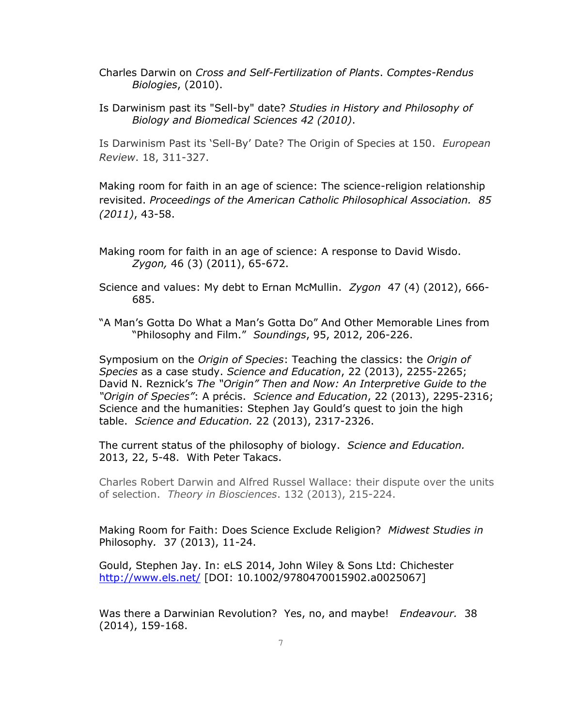- Charles Darwin on *Cross and Self-Fertilization of Plants*. *Comptes-Rendus Biologies*, (2010).
- Is Darwinism past its "Sell-by" date? *Studies in History and Philosophy of Biology and Biomedical Sciences 42 (2010)*.

Is Darwinism Past its 'Sell-By' Date? The Origin of Species at 150. *European Review*. 18, 311-327.

Making room for faith in an age of science: The science-religion relationship revisited. *Proceedings of the American Catholic Philosophical Association. 85 (2011)*, 43-58.

Making room for faith in an age of science: A response to David Wisdo. *Zygon,* 46 (3) (2011), 65-672.

Science and values: My debt to Ernan McMullin. *Zygon* 47 (4) (2012), 666- 685.

"A Man's Gotta Do What a Man's Gotta Do" And Other Memorable Lines from "Philosophy and Film." *Soundings*, 95, 2012, 206-226.

Symposium on the *Origin of Species*: Teaching the classics: the *Origin of Species* as a case study. *Science and Education*, 22 (2013), 2255-2265; David N. Reznick's *The "Origin" Then and Now: An Interpretive Guide to the "Origin of Species"*: A précis. *Science and Education*, 22 (2013), 2295-2316; Science and the humanities: Stephen Jay Gould's quest to join the high table. *Science and Education.* 22 (2013), 2317-2326.

The current status of the philosophy of biology. *Science and Education.* 2013, 22, 5-48. With Peter Takacs.

Charles Robert Darwin and Alfred Russel Wallace: their dispute over the units of selection. *Theory in Biosciences*. 132 (2013), 215-224.

Making Room for Faith: Does Science Exclude Religion? *Midwest Studies in*  Philosophy*.* 37 (2013), 11-24.

Gould, Stephen Jay. In: eLS 2014, John Wiley & Sons Ltd: Chichester <http://www.els.net/> [DOI: 10.1002/9780470015902.a0025067]

Was there a Darwinian Revolution? Yes, no, and maybe! *Endeavour.* 38 (2014), 159-168.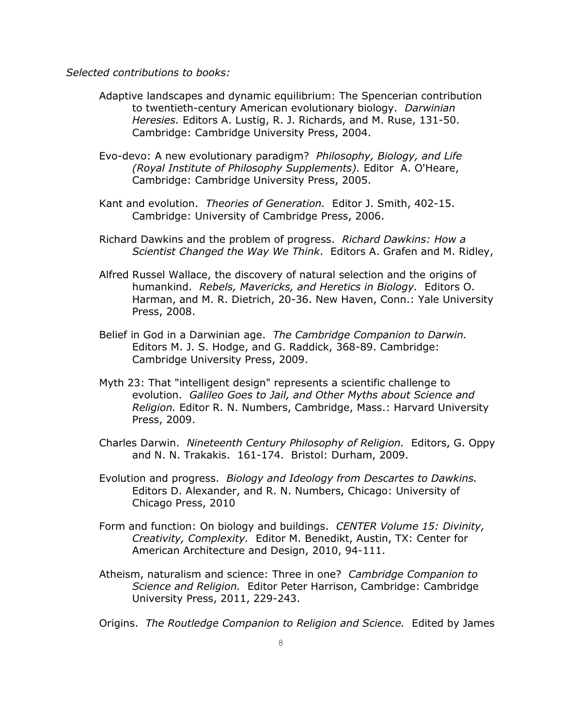*Selected contributions to books:*

- Adaptive landscapes and dynamic equilibrium: The Spencerian contribution to twentieth-century American evolutionary biology. *Darwinian Heresies.* Editors A. Lustig, R. J. Richards, and M. Ruse, 131-50. Cambridge: Cambridge University Press, 2004.
- Evo-devo: A new evolutionary paradigm? *Philosophy, Biology, and Life (Royal Institute of Philosophy Supplements).* Editor A. O'Heare, Cambridge: Cambridge University Press, 2005.
- Kant and evolution. *Theories of Generation.* Editor J. Smith, 402-15. Cambridge: University of Cambridge Press, 2006.
- Richard Dawkins and the problem of progress. *Richard Dawkins: How a Scientist Changed the Way We Think*. Editors A. Grafen and M. Ridley,
- Alfred Russel Wallace, the discovery of natural selection and the origins of humankind. *Rebels, Mavericks, and Heretics in Biology.* Editors O. Harman, and M. R. Dietrich, 20-36. New Haven, Conn.: Yale University Press, 2008.
- Belief in God in a Darwinian age. *The Cambridge Companion to Darwin.* Editors M. J. S. Hodge, and G. Raddick, 368-89. Cambridge: Cambridge University Press, 2009.
- Myth 23: That "intelligent design" represents a scientific challenge to evolution. *Galileo Goes to Jail, and Other Myths about Science and Religion.* Editor R. N. Numbers, Cambridge, Mass.: Harvard University Press, 2009.
- Charles Darwin. *Nineteenth Century Philosophy of Religion.* Editors, G. Oppy and N. N. Trakakis. 161-174. Bristol: Durham, 2009.
- Evolution and progress. *Biology and Ideology from Descartes to Dawkins.* Editors D. Alexander, and R. N. Numbers, Chicago: University of Chicago Press, 2010
- Form and function: On biology and buildings. *CENTER Volume 15: Divinity, Creativity, Complexity.* Editor M. Benedikt, Austin, TX: Center for American Architecture and Design, 2010, 94-111.
- Atheism, naturalism and science: Three in one? *Cambridge Companion to Science and Religion.* Editor Peter Harrison, Cambridge: Cambridge University Press, 2011, 229-243.
- Origins. *The Routledge Companion to Religion and Science.* Edited by James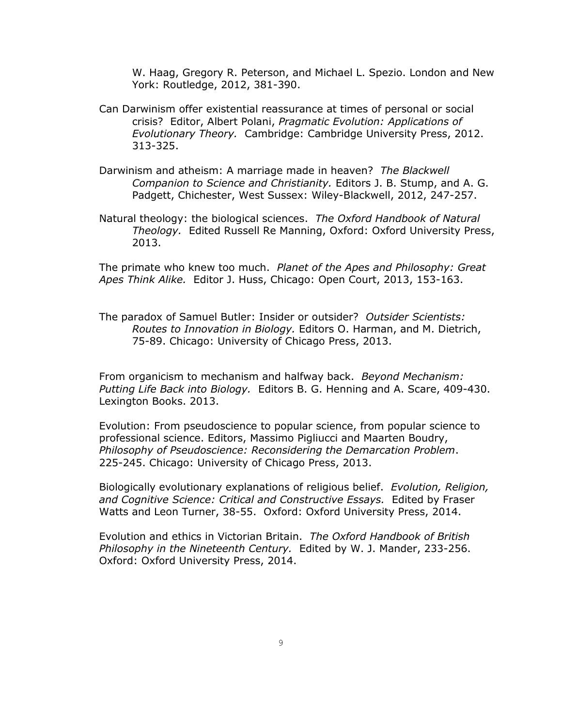W. Haag, Gregory R. Peterson, and Michael L. Spezio. London and New York: Routledge, 2012, 381-390.

- Can Darwinism offer existential reassurance at times of personal or social crisis? Editor, Albert Polani, *Pragmatic Evolution: Applications of Evolutionary Theory.* Cambridge: Cambridge University Press, 2012. 313-325.
- Darwinism and atheism: A marriage made in heaven? *The Blackwell Companion to Science and Christianity.* Editors J. B. Stump, and A. G. Padgett, Chichester, West Sussex: Wiley-Blackwell, 2012, 247-257.
- Natural theology: the biological sciences. *The Oxford Handbook of Natural Theology.* Edited Russell Re Manning, Oxford: Oxford University Press, 2013.

The primate who knew too much. *Planet of the Apes and Philosophy: Great Apes Think Alike.* Editor J. Huss, Chicago: Open Court, 2013, 153-163.

The paradox of Samuel Butler: Insider or outsider? *Outsider Scientists: Routes to Innovation in Biology.* Editors O. Harman, and M. Dietrich, 75-89. Chicago: University of Chicago Press, 2013.

From organicism to mechanism and halfway back. *Beyond Mechanism: Putting Life Back into Biology.* Editors B. G. Henning and A. Scare, 409-430. Lexington Books. 2013.

Evolution: From pseudoscience to popular science, from popular science to professional science. Editors, [Massimo Pigliucci](http://www.amazon.com/Massimo-Pigliucci/e/B001IU0D3K/ref=dp_byline_cont_book_1) and [Maarten Boudry,](http://www.amazon.com/Maarten-Boudry/e/B00EBSFVRY/ref=dp_byline_cont_book_2) *Philosophy of Pseudoscience: Reconsidering the Demarcation Problem*. 225-245. Chicago: University of Chicago Press, 2013.

Biologically evolutionary explanations of religious belief. *Evolution, Religion, and Cognitive Science: Critical and Constructive Essays.* Edited by Fraser Watts and Leon Turner, 38-55. Oxford: Oxford University Press, 2014.

Evolution and ethics in Victorian Britain. *The Oxford Handbook of British Philosophy in the Nineteenth Century.* Edited by W. J. Mander, 233-256. Oxford: Oxford University Press, 2014.